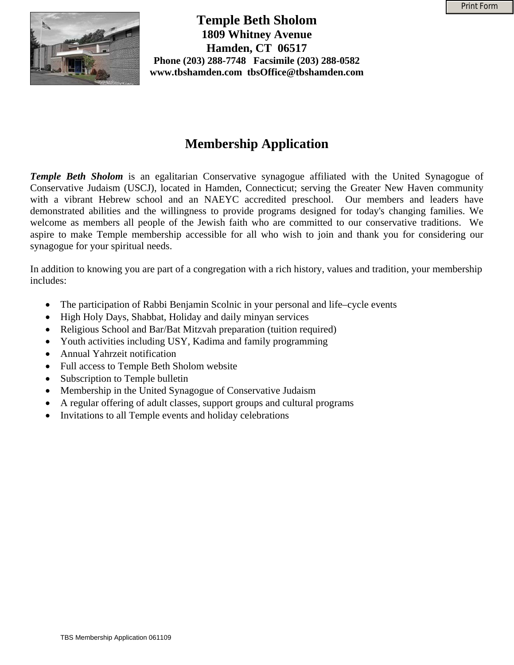

**Temple Beth Sholom 1809 Whitney Avenue Hamden, CT 06517 Phone (203) 288-7748 Facsimile (203) 288-0582 www.tbshamden.com tbsOffice@tbshamden.com** 

# **Membership Application**

*Temple Beth Sholom* is an egalitarian Conservative synagogue affiliated with the United Synagogue of Conservative Judaism (USCJ), located in Hamden, Connecticut; serving the Greater New Haven community with a vibrant Hebrew school and an NAEYC accredited preschool. Our members and leaders have demonstrated abilities and the willingness to provide programs designed for today's changing families. We welcome as members all people of the Jewish faith who are committed to our conservative traditions. We aspire to make Temple membership accessible for all who wish to join and thank you for considering our synagogue for your spiritual needs.

In addition to knowing you are part of a congregation with a rich history, values and tradition, your membership includes:

- The participation of Rabbi Benjamin Scolnic in your personal and life–cycle events
- High Holy Days, Shabbat, Holiday and daily minyan services
- Religious School and Bar/Bat Mitzvah preparation (tuition required)
- Youth activities including USY, Kadima and family programming
- Annual Yahrzeit notification
- Full access to Temple Beth Sholom website
- Subscription to Temple bulletin
- Membership in the United Synagogue of Conservative Judaism
- A regular offering of adult classes, support groups and cultural programs
- Invitations to all Temple events and holiday celebrations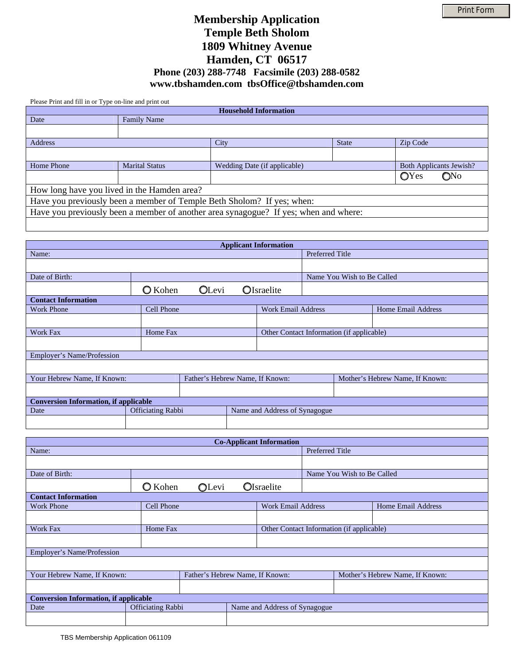## **Membership Application Temple Beth Sholom 1809 Whitney Avenue Hamden, CT 06517 Phone (203) 288-7748 Facsimile (203) 288-0582 www.tbshamden.com tbsOffice@tbshamden.com**

Please Print and fill in or Type on-line and print out

| <b>Household Information</b>                                                         |                       |                              |              |                                |  |
|--------------------------------------------------------------------------------------|-----------------------|------------------------------|--------------|--------------------------------|--|
| Date                                                                                 | <b>Family Name</b>    |                              |              |                                |  |
|                                                                                      |                       |                              |              |                                |  |
| Address                                                                              |                       | City                         | <b>State</b> | Zip Code                       |  |
|                                                                                      |                       |                              |              |                                |  |
| Home Phone                                                                           | <b>Marital Status</b> | Wedding Date (if applicable) |              | <b>Both Applicants Jewish?</b> |  |
|                                                                                      |                       |                              |              | OYes<br>QN <sub>0</sub>        |  |
| How long have you lived in the Hamden area?                                          |                       |                              |              |                                |  |
| Have you previously been a member of Temple Beth Sholom? If yes; when:               |                       |                              |              |                                |  |
| Have you previously been a member of another area synagogue? If yes; when and where: |                       |                              |              |                                |  |
|                                                                                      |                       |                              |              |                                |  |

| <b>Applicant Information</b>                 |                          |                                 |                                           |                                 |                            |                           |
|----------------------------------------------|--------------------------|---------------------------------|-------------------------------------------|---------------------------------|----------------------------|---------------------------|
| <b>Preferred Title</b><br>Name:              |                          |                                 |                                           |                                 |                            |                           |
|                                              |                          |                                 |                                           |                                 |                            |                           |
| Date of Birth:                               |                          |                                 |                                           |                                 | Name You Wish to Be Called |                           |
|                                              | <b>O</b> Kohen           | <b>OLevi</b>                    |                                           | OIsraelite                      |                            |                           |
| <b>Contact Information</b>                   |                          |                                 |                                           |                                 |                            |                           |
| <b>Work Phone</b>                            | Cell Phone               |                                 |                                           | <b>Work Email Address</b>       |                            | <b>Home Email Address</b> |
|                                              |                          |                                 |                                           |                                 |                            |                           |
| <b>Work Fax</b>                              | Home Fax                 |                                 | Other Contact Information (if applicable) |                                 |                            |                           |
|                                              |                          |                                 |                                           |                                 |                            |                           |
| Employer's Name/Profession                   |                          |                                 |                                           |                                 |                            |                           |
|                                              |                          |                                 |                                           |                                 |                            |                           |
| Your Hebrew Name, If Known:                  |                          | Father's Hebrew Name, If Known: |                                           | Mother's Hebrew Name, If Known: |                            |                           |
|                                              |                          |                                 |                                           |                                 |                            |                           |
| <b>Conversion Information, if applicable</b> |                          |                                 |                                           |                                 |                            |                           |
| Date                                         | <b>Officiating Rabbi</b> | Name and Address of Synagogue   |                                           |                                 |                            |                           |
|                                              |                          |                                 |                                           |                                 |                            |                           |

| <b>Co-Applicant Information</b>              |                          |                                 |  |                                 |                                           |                    |  |
|----------------------------------------------|--------------------------|---------------------------------|--|---------------------------------|-------------------------------------------|--------------------|--|
| Name:                                        |                          |                                 |  |                                 | <b>Preferred Title</b>                    |                    |  |
|                                              |                          |                                 |  |                                 |                                           |                    |  |
| Date of Birth:                               |                          |                                 |  |                                 | Name You Wish to Be Called                |                    |  |
|                                              | <b>O</b> Kohen           | OLevi                           |  | <b>O</b> Israelite              |                                           |                    |  |
| <b>Contact Information</b>                   |                          |                                 |  |                                 |                                           |                    |  |
| <b>Work Phone</b>                            | Cell Phone               |                                 |  | <b>Work Email Address</b>       |                                           | Home Email Address |  |
|                                              |                          |                                 |  |                                 |                                           |                    |  |
| Work Fax                                     | Home Fax                 |                                 |  |                                 | Other Contact Information (if applicable) |                    |  |
|                                              |                          |                                 |  |                                 |                                           |                    |  |
| Employer's Name/Profession                   |                          |                                 |  |                                 |                                           |                    |  |
|                                              |                          |                                 |  |                                 |                                           |                    |  |
| Your Hebrew Name, If Known:                  |                          | Father's Hebrew Name, If Known: |  | Mother's Hebrew Name, If Known: |                                           |                    |  |
|                                              |                          |                                 |  |                                 |                                           |                    |  |
| <b>Conversion Information, if applicable</b> |                          |                                 |  |                                 |                                           |                    |  |
| Date                                         | <b>Officiating Rabbi</b> | Name and Address of Synagogue   |  |                                 |                                           |                    |  |
|                                              |                          |                                 |  |                                 |                                           |                    |  |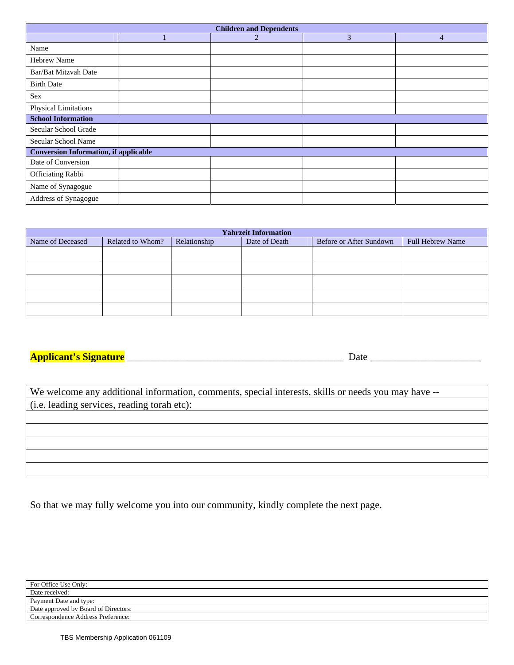| <b>Children and Dependents</b>               |              |                          |                          |                      |  |  |
|----------------------------------------------|--------------|--------------------------|--------------------------|----------------------|--|--|
|                                              |              | 2                        | 3                        | $\overline{4}$       |  |  |
| Name                                         |              |                          |                          |                      |  |  |
| <b>Hebrew Name</b>                           |              |                          |                          |                      |  |  |
| Bar/Bat Mitzvah Date                         |              |                          |                          |                      |  |  |
| <b>Birth Date</b>                            |              |                          |                          |                      |  |  |
| Sex                                          | $\mathbf{v}$ | $\mathbf{v}$             | $\overline{\phantom{0}}$ | $\vert \vert$        |  |  |
| Physical Limitations                         |              |                          |                          |                      |  |  |
| <b>School Information</b>                    |              |                          |                          |                      |  |  |
| Secular School Grade                         | $\mathbf{v}$ | $\overline{\phantom{0}}$ | $\overline{\phantom{a}}$ | $\blacktriangledown$ |  |  |
| Secular School Name                          |              |                          |                          |                      |  |  |
| <b>Conversion Information, if applicable</b> |              |                          |                          |                      |  |  |
| Date of Conversion                           |              |                          |                          |                      |  |  |
| <b>Officiating Rabbi</b>                     |              |                          |                          |                      |  |  |
| Name of Synagogue                            |              |                          |                          |                      |  |  |
| Address of Synagogue                         |              |                          |                          |                      |  |  |

| <b>Yahrzeit Information</b> |                  |              |               |                         |                         |  |
|-----------------------------|------------------|--------------|---------------|-------------------------|-------------------------|--|
| Name of Deceased            | Related to Whom? | Relationship | Date of Death | Before or After Sundown | <b>Full Hebrew Name</b> |  |
|                             |                  |              |               |                         |                         |  |
|                             |                  |              |               |                         |                         |  |
|                             |                  |              |               |                         |                         |  |
|                             |                  |              |               |                         |                         |  |
|                             |                  |              |               |                         |                         |  |

#### **Applicant's Signature** \_\_\_\_\_\_\_\_\_\_\_\_\_\_\_\_\_\_\_\_\_\_\_\_\_\_\_\_\_\_\_\_\_\_\_\_\_\_\_\_\_\_\_ Date \_\_\_\_\_\_\_\_\_\_\_\_\_\_\_\_\_\_\_\_\_\_

| We welcome any additional information, comments, special interests, skills or needs you may have -- |
|-----------------------------------------------------------------------------------------------------|
| (i.e. leading services, reading torah etc):                                                         |
|                                                                                                     |
|                                                                                                     |
|                                                                                                     |
|                                                                                                     |
|                                                                                                     |

So that we may fully welcome you into our community, kindly complete the next page.

| For Office Use Only:                 |  |
|--------------------------------------|--|
| Date received:                       |  |
| Payment Date and type:               |  |
| Date approved by Board of Directors: |  |
| Correspondence Address Preference:   |  |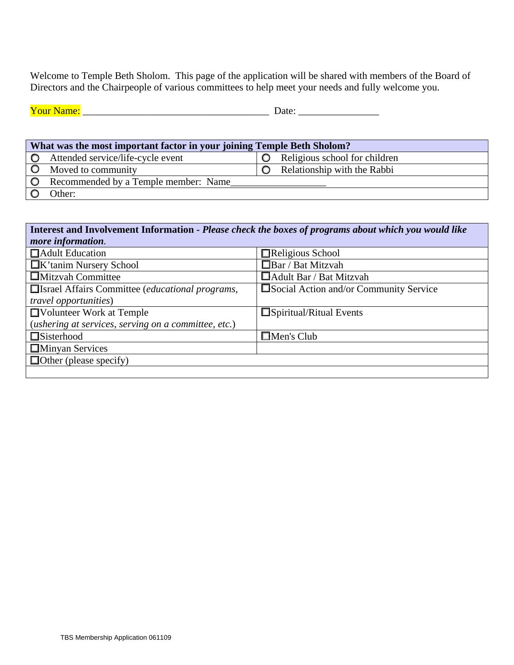Welcome to Temple Beth Sholom. This page of the application will be shared with members of the Board of Directors and the Chairpeople of various committees to help meet your needs and fully welcome you.

| $\mathbf{v}$<br>мяне<br>. . | 74 I H<br>uw |
|-----------------------------|--------------|
|                             |              |

|         | What was the most important factor in your joining Temple Beth Sholom? |  |                               |  |  |
|---------|------------------------------------------------------------------------|--|-------------------------------|--|--|
| $\circ$ | Attended service/life-cycle event                                      |  | Religious school for children |  |  |
|         | Moved to community                                                     |  | Relationship with the Rabbi   |  |  |
| $\circ$ | Recommended by a Temple member: Name                                   |  |                               |  |  |
|         | Other:                                                                 |  |                               |  |  |

| Interest and Involvement Information - Please check the boxes of programs about which you would like |                                        |  |  |  |  |
|------------------------------------------------------------------------------------------------------|----------------------------------------|--|--|--|--|
| more information.                                                                                    |                                        |  |  |  |  |
| <b>Adult Education</b>                                                                               | Religious School                       |  |  |  |  |
| <b>K</b> 'tanim Nursery School                                                                       | $\Box$ Bar / Bat Mitzvah               |  |  |  |  |
| $\Box$ Mitzvah Committee                                                                             | $\Box$ Adult Bar / Bat Mitzvah         |  |  |  |  |
| □ Israel Affairs Committee (educational programs,                                                    | Social Action and/or Community Service |  |  |  |  |
| <i>travel opportunities</i> )                                                                        |                                        |  |  |  |  |
| □ Volunteer Work at Temple                                                                           | $\Box$ Spiritual/Ritual Events         |  |  |  |  |
| (ushering at services, serving on a committee, etc.)                                                 |                                        |  |  |  |  |
| □Sisterhood                                                                                          | $\Box$ Men's Club                      |  |  |  |  |
| <b>Minyan Services</b>                                                                               |                                        |  |  |  |  |
| $\Box$ Other (please specify)                                                                        |                                        |  |  |  |  |
|                                                                                                      |                                        |  |  |  |  |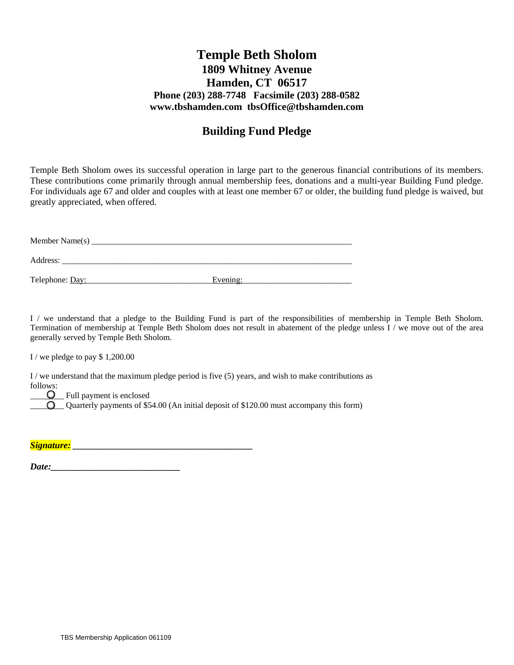### **Temple Beth Sholom 1809 Whitney Avenue Hamden, CT 06517 Phone (203) 288-7748 Facsimile (203) 288-0582 www.tbshamden.com tbsOffice@tbshamden.com**

## **Building Fund Pledge**

Temple Beth Sholom owes its successful operation in large part to the generous financial contributions of its members. These contributions come primarily through annual membership fees, donations and a multi-year Building Fund pledge. For individuals age 67 and older and couples with at least one member 67 or older, the building fund pledge is waived, but greatly appreciated, when offered.

| Member Name(s)  |          |  |
|-----------------|----------|--|
| Address:        |          |  |
| Telephone: Day: | Evening: |  |

I / we understand that a pledge to the Building Fund is part of the responsibilities of membership in Temple Beth Sholom. Termination of membership at Temple Beth Sholom does not result in abatement of the pledge unless I / we move out of the area generally served by Temple Beth Sholom.

I / we pledge to pay \$ 1,200.00

I / we understand that the maximum pledge period is five  $(5)$  years, and wish to make contributions as follows:

**Q** Full payment is enclosed

 $\bigcirc$  Quarterly payments of \$54.00 (An initial deposit of \$120.00 must accompany this form)

| Signature: |  |
|------------|--|

*Date:*